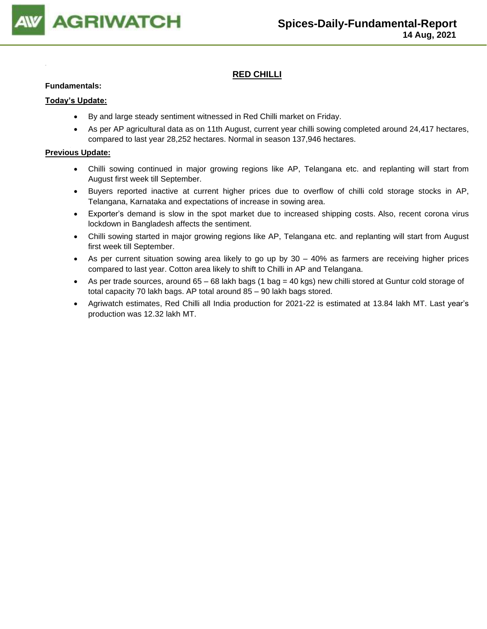

## **RED CHILLI**

#### **Fundamentals:**

#### **Today's Update:**

- By and large steady sentiment witnessed in Red Chilli market on Friday.
- As per AP agricultural data as on 11th August, current year chilli sowing completed around 24,417 hectares, compared to last year 28,252 hectares. Normal in season 137,946 hectares.

- Chilli sowing continued in major growing regions like AP, Telangana etc. and replanting will start from August first week till September.
- Buyers reported inactive at current higher prices due to overflow of chilli cold storage stocks in AP, Telangana, Karnataka and expectations of increase in sowing area.
- Exporter's demand is slow in the spot market due to increased shipping costs. Also, recent corona virus lockdown in Bangladesh affects the sentiment.
- Chilli sowing started in major growing regions like AP, Telangana etc. and replanting will start from August first week till September.
- As per current situation sowing area likely to go up by 30 40% as farmers are receiving higher prices compared to last year. Cotton area likely to shift to Chilli in AP and Telangana.
- As per trade sources, around 65 68 lakh bags (1 bag = 40 kgs) new chilli stored at Guntur cold storage of total capacity 70 lakh bags. AP total around 85 – 90 lakh bags stored.
- Agriwatch estimates, Red Chilli all India production for 2021-22 is estimated at 13.84 lakh MT. Last year's production was 12.32 lakh MT.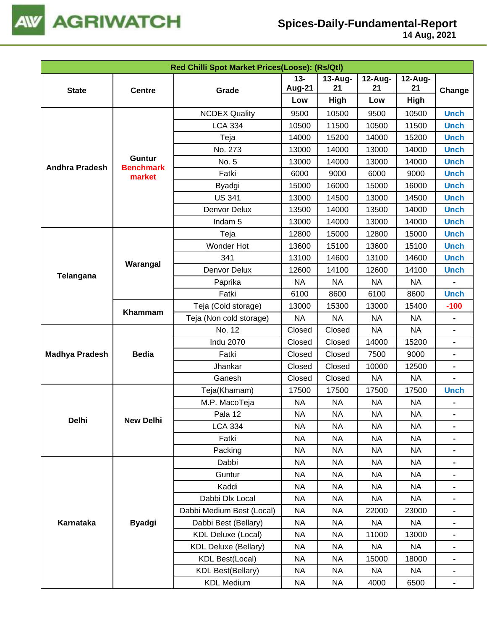

|                       |                            | Red Chilli Spot Market Prices(Loose): (Rs/Qtl) |                         |                  |                                                                                                                                                                                                      |                  |                                                                                                                                                                                                                                                                                                                                                                                 |
|-----------------------|----------------------------|------------------------------------------------|-------------------------|------------------|------------------------------------------------------------------------------------------------------------------------------------------------------------------------------------------------------|------------------|---------------------------------------------------------------------------------------------------------------------------------------------------------------------------------------------------------------------------------------------------------------------------------------------------------------------------------------------------------------------------------|
| <b>State</b>          | <b>Centre</b>              | Grade                                          | $13 -$<br><b>Aug-21</b> | $13$ -Aug-<br>21 | 12-Aug-<br>21                                                                                                                                                                                        | $12$ -Aug-<br>21 |                                                                                                                                                                                                                                                                                                                                                                                 |
|                       |                            |                                                | Low                     | High             | Low                                                                                                                                                                                                  | High             |                                                                                                                                                                                                                                                                                                                                                                                 |
|                       |                            | <b>NCDEX Quality</b>                           | 9500                    | 10500            | 9500                                                                                                                                                                                                 | 10500            | <b>Unch</b>                                                                                                                                                                                                                                                                                                                                                                     |
|                       |                            | <b>LCA 334</b>                                 | 10500                   | 11500            | 10500                                                                                                                                                                                                | 11500            | Change<br><b>Unch</b><br><b>Unch</b><br><b>Unch</b><br><b>Unch</b><br><b>Unch</b><br><b>Unch</b><br><b>Unch</b><br><b>Unch</b><br><b>Unch</b><br><b>Unch</b><br><b>Unch</b><br><b>Unch</b><br><b>Unch</b><br><b>Unch</b><br>$-100$<br>$\blacksquare$<br>$\blacksquare$<br>$\blacksquare$<br>$\blacksquare$<br><b>Unch</b><br>$\blacksquare$<br>$\blacksquare$<br>$\blacksquare$ |
|                       |                            | Teja                                           | 14000                   | 15200            | 14000                                                                                                                                                                                                | 15200            |                                                                                                                                                                                                                                                                                                                                                                                 |
|                       |                            | No. 273                                        | 13000                   | 14000            | 13000                                                                                                                                                                                                | 14000            |                                                                                                                                                                                                                                                                                                                                                                                 |
|                       | <b>Guntur</b>              | No. 5                                          | 13000                   | 14000            | 13000                                                                                                                                                                                                | 14000            |                                                                                                                                                                                                                                                                                                                                                                                 |
| <b>Andhra Pradesh</b> | <b>Benchmark</b><br>market | Fatki                                          | 6000                    | 9000             | 6000                                                                                                                                                                                                 | 9000             |                                                                                                                                                                                                                                                                                                                                                                                 |
|                       |                            | Byadgi                                         | 15000                   | 16000            | 15000                                                                                                                                                                                                | 16000            |                                                                                                                                                                                                                                                                                                                                                                                 |
|                       |                            | <b>US 341</b>                                  | 13000                   | 14500            | 13000                                                                                                                                                                                                | 14500            |                                                                                                                                                                                                                                                                                                                                                                                 |
|                       |                            | Denvor Delux                                   | 13500                   | 14000            | 13500                                                                                                                                                                                                | 14000            |                                                                                                                                                                                                                                                                                                                                                                                 |
|                       |                            | Indam <sub>5</sub>                             | 13000                   | 14000            | 13000                                                                                                                                                                                                | 14000            |                                                                                                                                                                                                                                                                                                                                                                                 |
|                       |                            | Teja                                           | 12800                   | 15000            | 12800                                                                                                                                                                                                | 15000            |                                                                                                                                                                                                                                                                                                                                                                                 |
|                       |                            | Wonder Hot                                     | 13600                   | 15100            | 13600                                                                                                                                                                                                | 15100            |                                                                                                                                                                                                                                                                                                                                                                                 |
| Telangana             |                            | 341                                            | 13100                   | 14600            | 13100                                                                                                                                                                                                | 14600            |                                                                                                                                                                                                                                                                                                                                                                                 |
|                       | Warangal                   | Denvor Delux                                   | 12600                   | 14100            | 12600                                                                                                                                                                                                | 14100            |                                                                                                                                                                                                                                                                                                                                                                                 |
|                       |                            | Paprika                                        | <b>NA</b>               | <b>NA</b>        | <b>NA</b>                                                                                                                                                                                            | <b>NA</b>        |                                                                                                                                                                                                                                                                                                                                                                                 |
|                       |                            | Fatki                                          | 6100                    | 8600             | 6100                                                                                                                                                                                                 | 8600             |                                                                                                                                                                                                                                                                                                                                                                                 |
|                       |                            | Teja (Cold storage)                            | 13000                   | 15300            | 13000                                                                                                                                                                                                | 15400            |                                                                                                                                                                                                                                                                                                                                                                                 |
|                       | Khammam                    | Teja (Non cold storage)                        | <b>NA</b>               | <b>NA</b>        | <b>NA</b>                                                                                                                                                                                            | <b>NA</b>        |                                                                                                                                                                                                                                                                                                                                                                                 |
|                       |                            | No. 12                                         | Closed                  | Closed           | <b>NA</b>                                                                                                                                                                                            | <b>NA</b>        |                                                                                                                                                                                                                                                                                                                                                                                 |
|                       |                            | <b>Indu 2070</b>                               | Closed                  | Closed           | 14000                                                                                                                                                                                                | 15200            |                                                                                                                                                                                                                                                                                                                                                                                 |
| <b>Madhya Pradesh</b> | <b>Bedia</b>               | Fatki                                          | Closed                  | Closed           | 7500                                                                                                                                                                                                 | 9000             |                                                                                                                                                                                                                                                                                                                                                                                 |
|                       |                            | Jhankar                                        | Closed                  | Closed           | 10000                                                                                                                                                                                                | 12500            |                                                                                                                                                                                                                                                                                                                                                                                 |
|                       |                            | Ganesh                                         | Closed                  | Closed           | <b>NA</b>                                                                                                                                                                                            | <b>NA</b>        |                                                                                                                                                                                                                                                                                                                                                                                 |
|                       |                            | Teja(Khamam)                                   | 17500                   | 17500            | 17500                                                                                                                                                                                                | 17500            |                                                                                                                                                                                                                                                                                                                                                                                 |
|                       |                            | M.P. MacoTeja                                  | <b>NA</b>               | <b>NA</b>        | <b>NA</b>                                                                                                                                                                                            | <b>NA</b>        |                                                                                                                                                                                                                                                                                                                                                                                 |
| Delhi                 | <b>New Delhi</b>           | Pala 12                                        | <b>NA</b>               | <b>NA</b>        | <b>NA</b>                                                                                                                                                                                            | <b>NA</b>        |                                                                                                                                                                                                                                                                                                                                                                                 |
|                       |                            | <b>LCA 334</b>                                 | <b>NA</b>               | <b>NA</b>        | <b>NA</b>                                                                                                                                                                                            | <b>NA</b>        |                                                                                                                                                                                                                                                                                                                                                                                 |
|                       |                            | Fatki                                          | <b>NA</b>               | <b>NA</b>        | <b>NA</b><br><b>NA</b><br><b>NA</b><br><b>NA</b><br><b>NA</b><br><b>NA</b><br><b>NA</b><br><b>NA</b><br><b>NA</b><br><b>NA</b><br><b>NA</b><br><b>NA</b><br>22000<br>23000<br><b>NA</b><br><b>NA</b> |                  |                                                                                                                                                                                                                                                                                                                                                                                 |
|                       |                            | Packing                                        | <b>NA</b>               | <b>NA</b>        |                                                                                                                                                                                                      |                  |                                                                                                                                                                                                                                                                                                                                                                                 |
|                       |                            | Dabbi                                          | <b>NA</b>               | <b>NA</b>        |                                                                                                                                                                                                      |                  |                                                                                                                                                                                                                                                                                                                                                                                 |
|                       |                            | Guntur                                         | <b>NA</b>               | <b>NA</b>        |                                                                                                                                                                                                      |                  |                                                                                                                                                                                                                                                                                                                                                                                 |
|                       |                            | Kaddi                                          | <b>NA</b>               | <b>NA</b>        |                                                                                                                                                                                                      |                  |                                                                                                                                                                                                                                                                                                                                                                                 |
|                       |                            | Dabbi Dlx Local                                | <b>NA</b>               | <b>NA</b>        |                                                                                                                                                                                                      |                  |                                                                                                                                                                                                                                                                                                                                                                                 |
|                       |                            | Dabbi Medium Best (Local)                      | <b>NA</b>               | <b>NA</b>        |                                                                                                                                                                                                      |                  |                                                                                                                                                                                                                                                                                                                                                                                 |
| Karnataka             | <b>Byadgi</b>              | Dabbi Best (Bellary)                           | <b>NA</b>               | <b>NA</b>        |                                                                                                                                                                                                      |                  |                                                                                                                                                                                                                                                                                                                                                                                 |
|                       |                            | <b>KDL Deluxe (Local)</b>                      | <b>NA</b>               | <b>NA</b>        | 11000                                                                                                                                                                                                | 13000            |                                                                                                                                                                                                                                                                                                                                                                                 |
|                       |                            | <b>KDL Deluxe (Bellary)</b>                    | <b>NA</b>               | <b>NA</b>        | <b>NA</b>                                                                                                                                                                                            | <b>NA</b>        |                                                                                                                                                                                                                                                                                                                                                                                 |
|                       |                            | <b>KDL Best(Local)</b>                         | NA.                     | <b>NA</b>        | 15000                                                                                                                                                                                                | 18000            |                                                                                                                                                                                                                                                                                                                                                                                 |
|                       |                            | <b>KDL Best(Bellary)</b>                       | <b>NA</b>               | <b>NA</b>        | <b>NA</b>                                                                                                                                                                                            | <b>NA</b>        | $\blacksquare$                                                                                                                                                                                                                                                                                                                                                                  |
|                       |                            | <b>KDL Medium</b>                              | <b>NA</b>               | <b>NA</b>        | 4000                                                                                                                                                                                                 | 6500             | $\blacksquare$                                                                                                                                                                                                                                                                                                                                                                  |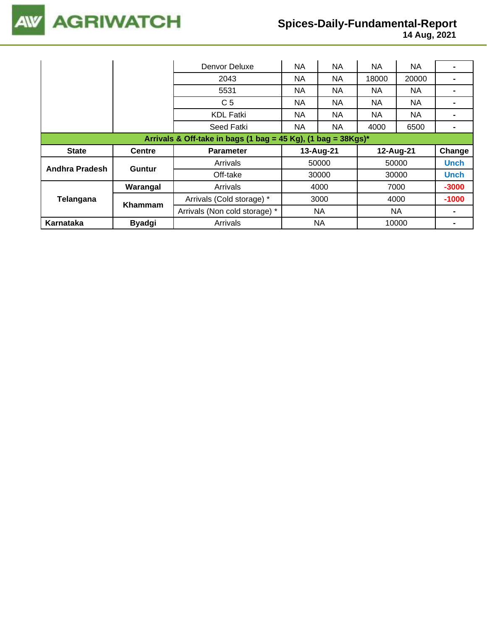

|                                                                  |               | Denvor Deluxe                 | NA  | NA        | NA        | <b>NA</b> |             |  |  |
|------------------------------------------------------------------|---------------|-------------------------------|-----|-----------|-----------|-----------|-------------|--|--|
|                                                                  |               | 2043                          | NA  | NA        | 18000     | 20000     |             |  |  |
|                                                                  |               | 5531                          | NA. | NA.       | NA.       | <b>NA</b> |             |  |  |
|                                                                  |               | C <sub>5</sub>                | NA. | NA.       | NA.       | <b>NA</b> |             |  |  |
|                                                                  |               | <b>KDL Fatki</b>              | NA  | NA        | NA.       | <b>NA</b> |             |  |  |
|                                                                  |               | Seed Fatki                    | NA. | NA        | 4000      | 6500      |             |  |  |
| Arrivals & Off-take in bags (1 bag = 45 Kg), (1 bag = $38Kgs$ )* |               |                               |     |           |           |           |             |  |  |
|                                                                  |               |                               |     |           |           |           |             |  |  |
| <b>State</b>                                                     | <b>Centre</b> | <b>Parameter</b>              |     | 13-Aug-21 | 12-Aug-21 |           | Change      |  |  |
|                                                                  |               | Arrivals                      |     | 50000     |           | 50000     | <b>Unch</b> |  |  |
| Andhra Pradesh                                                   | Guntur        | Off-take                      |     | 30000     |           | 30000     | <b>Unch</b> |  |  |
|                                                                  | Warangal      | Arrivals                      |     | 4000      |           | 7000      | $-3000$     |  |  |
| Telangana                                                        |               | Arrivals (Cold storage) *     |     | 3000      |           | 4000      | $-1000$     |  |  |
|                                                                  | Khammam       | Arrivals (Non cold storage) * |     | NA        |           | NA        |             |  |  |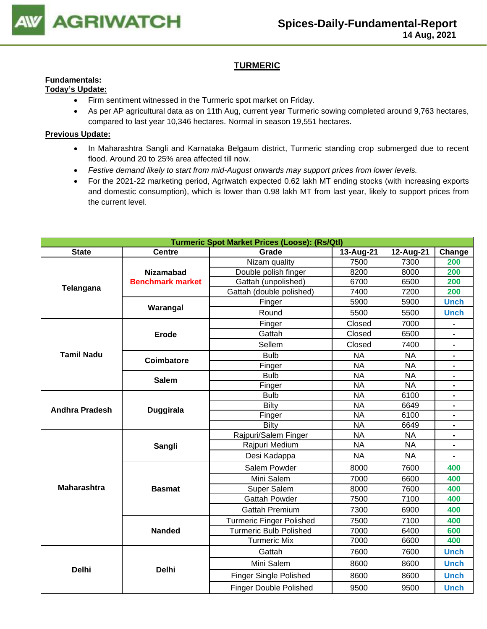

## **TURMERIC**

#### **Fundamentals: Today's Update:**

- Firm sentiment witnessed in the Turmeric spot market on Friday.
- As per AP agricultural data as on 11th Aug, current year Turmeric sowing completed around 9,763 hectares, compared to last year 10,346 hectares. Normal in season 19,551 hectares.

- In Maharashtra Sangli and Karnataka Belgaum district, Turmeric standing crop submerged due to recent flood. Around 20 to 25% area affected till now.
- *Festive demand likely to start from mid-August onwards may support prices from lower levels.*
- For the 2021-22 marketing period, Agriwatch expected 0.62 lakh MT ending stocks (with increasing exports and domestic consumption), which is lower than 0.98 lakh MT from last year, likely to support prices from the current level.

| <b>Turmeric Spot Market Prices (Loose): (Rs/Qtl)</b> |                         |                                 |           |           |                                                                                                                                                                                                                                                           |  |  |  |  |
|------------------------------------------------------|-------------------------|---------------------------------|-----------|-----------|-----------------------------------------------------------------------------------------------------------------------------------------------------------------------------------------------------------------------------------------------------------|--|--|--|--|
| <b>State</b>                                         | <b>Centre</b>           | Grade                           | 13-Aug-21 | 12-Aug-21 | Change                                                                                                                                                                                                                                                    |  |  |  |  |
|                                                      |                         | Nizam quality                   | 7500      | 7300      | 200                                                                                                                                                                                                                                                       |  |  |  |  |
|                                                      | <b>Nizamabad</b>        | Double polish finger            | 8200      | 8000      |                                                                                                                                                                                                                                                           |  |  |  |  |
| Telangana                                            | <b>Benchmark market</b> | Gattah (unpolished)             | 6700      | 6500      |                                                                                                                                                                                                                                                           |  |  |  |  |
|                                                      |                         | Gattah (double polished)        | 7400      | 7200      |                                                                                                                                                                                                                                                           |  |  |  |  |
|                                                      | Warangal                | Finger                          | 5900      | 5900      | 200<br>200<br>200<br><b>Unch</b><br><b>Unch</b><br>$\blacksquare$<br>$\blacksquare$<br>$\blacksquare$<br>$\blacksquare$<br>$\blacksquare$<br>$\blacksquare$<br>۰<br>$\blacksquare$<br>400<br>400<br>400<br>400<br>400<br>400<br>600<br>400<br><b>Unch</b> |  |  |  |  |
|                                                      |                         | Round                           | 5500      | 5500      |                                                                                                                                                                                                                                                           |  |  |  |  |
|                                                      |                         | Finger                          | Closed    | 7000      |                                                                                                                                                                                                                                                           |  |  |  |  |
|                                                      | <b>Erode</b>            | Gattah                          | Closed    | 6500      |                                                                                                                                                                                                                                                           |  |  |  |  |
|                                                      |                         | Sellem                          | Closed    | 7400      |                                                                                                                                                                                                                                                           |  |  |  |  |
| <b>Tamil Nadu</b>                                    | Coimbatore              | <b>Bulb</b>                     | <b>NA</b> | <b>NA</b> |                                                                                                                                                                                                                                                           |  |  |  |  |
|                                                      |                         | Finger                          | <b>NA</b> | <b>NA</b> |                                                                                                                                                                                                                                                           |  |  |  |  |
|                                                      | <b>Salem</b>            | <b>Bulb</b>                     | <b>NA</b> | <b>NA</b> |                                                                                                                                                                                                                                                           |  |  |  |  |
|                                                      |                         | Finger                          | <b>NA</b> | <b>NA</b> |                                                                                                                                                                                                                                                           |  |  |  |  |
|                                                      |                         | <b>Bulb</b>                     | <b>NA</b> | 6100      |                                                                                                                                                                                                                                                           |  |  |  |  |
| <b>Andhra Pradesh</b>                                | <b>Duggirala</b>        | <b>Bilty</b>                    | <b>NA</b> | 6649      |                                                                                                                                                                                                                                                           |  |  |  |  |
|                                                      |                         | Finger                          | <b>NA</b> | 6100      |                                                                                                                                                                                                                                                           |  |  |  |  |
|                                                      |                         | Bilty                           | <b>NA</b> | 6649      |                                                                                                                                                                                                                                                           |  |  |  |  |
|                                                      |                         | Rajpuri/Salem Finger            | <b>NA</b> | <b>NA</b> |                                                                                                                                                                                                                                                           |  |  |  |  |
|                                                      | Sangli                  | Rajpuri Medium                  | <b>NA</b> | <b>NA</b> |                                                                                                                                                                                                                                                           |  |  |  |  |
|                                                      |                         | Desi Kadappa                    | <b>NA</b> | <b>NA</b> |                                                                                                                                                                                                                                                           |  |  |  |  |
|                                                      |                         | Salem Powder                    | 8000      | 7600      |                                                                                                                                                                                                                                                           |  |  |  |  |
|                                                      |                         | Mini Salem                      | 7000      | 6600      |                                                                                                                                                                                                                                                           |  |  |  |  |
| <b>Maharashtra</b>                                   | <b>Basmat</b>           | Super Salem                     | 8000      | 7600      |                                                                                                                                                                                                                                                           |  |  |  |  |
|                                                      |                         | <b>Gattah Powder</b>            | 7500      | 7100      |                                                                                                                                                                                                                                                           |  |  |  |  |
|                                                      |                         | <b>Gattah Premium</b>           | 7300      | 6900      |                                                                                                                                                                                                                                                           |  |  |  |  |
|                                                      |                         | <b>Turmeric Finger Polished</b> | 7500      | 7100      |                                                                                                                                                                                                                                                           |  |  |  |  |
|                                                      | <b>Nanded</b>           | <b>Turmeric Bulb Polished</b>   | 7000      | 6400      | <b>Unch</b><br><b>Unch</b><br><b>Unch</b>                                                                                                                                                                                                                 |  |  |  |  |
|                                                      |                         | <b>Turmeric Mix</b>             | 7000      | 6600      |                                                                                                                                                                                                                                                           |  |  |  |  |
|                                                      |                         | Gattah                          | 7600      | 7600      |                                                                                                                                                                                                                                                           |  |  |  |  |
| <b>Delhi</b>                                         | <b>Delhi</b>            | Mini Salem                      | 8600      | 8600      |                                                                                                                                                                                                                                                           |  |  |  |  |
|                                                      |                         | <b>Finger Single Polished</b>   | 8600      | 8600      |                                                                                                                                                                                                                                                           |  |  |  |  |
|                                                      |                         | <b>Finger Double Polished</b>   | 9500      | 9500      |                                                                                                                                                                                                                                                           |  |  |  |  |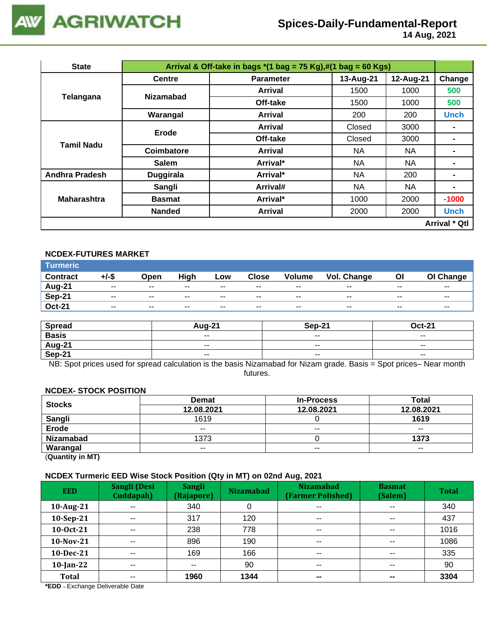

 **14 Aug, 2021**

| <b>State</b>          |                  | Arrival & Off-take in bags $*(1 \text{ bag} = 75 \text{ Kg}),\#(1 \text{ bag} = 60 \text{ Kg})$ |           |           |                                  |  |  |  |  |  |
|-----------------------|------------------|-------------------------------------------------------------------------------------------------|-----------|-----------|----------------------------------|--|--|--|--|--|
|                       | <b>Centre</b>    | <b>Parameter</b>                                                                                | 13-Aug-21 | 12-Aug-21 | Change                           |  |  |  |  |  |
|                       | <b>Nizamabad</b> | <b>Arrival</b>                                                                                  | 1500      | 1000      | 500                              |  |  |  |  |  |
| Telangana             |                  | Off-take                                                                                        | 1500      | 1000      | 500                              |  |  |  |  |  |
|                       | Warangal         | <b>Arrival</b>                                                                                  | 200       | 200       | <b>Unch</b>                      |  |  |  |  |  |
|                       | Erode            | <b>Arrival</b>                                                                                  | Closed    | 3000      |                                  |  |  |  |  |  |
| Tamil Nadu            |                  | Off-take                                                                                        | Closed    | 3000      | $\blacksquare$<br>$\blacksquare$ |  |  |  |  |  |
|                       | Coimbatore       | Arrival                                                                                         | <b>NA</b> | <b>NA</b> |                                  |  |  |  |  |  |
|                       | <b>Salem</b>     | Arrival*                                                                                        | <b>NA</b> | NA        |                                  |  |  |  |  |  |
| <b>Andhra Pradesh</b> | Duggirala        | Arrival*                                                                                        | <b>NA</b> | 200       |                                  |  |  |  |  |  |
|                       | Sangli           | Arrival#                                                                                        | <b>NA</b> | <b>NA</b> | -                                |  |  |  |  |  |
| <b>Maharashtra</b>    | <b>Basmat</b>    | Arrival*                                                                                        | 1000      | 2000      | $-1000$                          |  |  |  |  |  |
|                       | <b>Nanded</b>    | <b>Arrival</b>                                                                                  | 2000      | 2000      | <b>Unch</b>                      |  |  |  |  |  |
|                       |                  |                                                                                                 |           |           | <b>Arrival * Qtl</b>             |  |  |  |  |  |

#### **NCDEX-FUTURES MARKET**

| Turmeric <sup>1</sup> |               |       |       |       |              |               |             |       |               |
|-----------------------|---------------|-------|-------|-------|--------------|---------------|-------------|-------|---------------|
| <b>Contract</b>       | +/-\$         | Open  | High  | Low   | <b>Close</b> | <b>Volume</b> | Vol. Change | Ol    | OI Change     |
| Aug-21                | $\sim$ $\sim$ | $- -$ | $- -$ | $- -$ | $- -$        | $- -$         | $- -$       | $- -$ | $\sim$ $\sim$ |
| Sep-21                | $- -$         | $- -$ | $- -$ | $- -$ | $- -$        | $- -$         | $- -$       | $- -$ | $- -$         |
| <b>Oct-21</b>         | $\sim$ $\sim$ | $- -$ | $- -$ | $- -$ | $- -$        | $- -$         | $- -$       | $- -$ | $- -$         |

| <b>Spread</b> | <b>Aug-21</b> | Sep-21 | Oct-21                   |
|---------------|---------------|--------|--------------------------|
| <b>Basis</b>  | $- -$         | $- -$  | $\sim$ $\sim$            |
| Aug-21        | $\sim$ $\sim$ | $- -$  | $\overline{\phantom{a}}$ |
| Sep-21        | $- -$         | $- -$  | $\overline{\phantom{a}}$ |

NB: Spot prices used for spread calculation is the basis Nizamabad for Nizam grade. Basis = Spot prices– Near month futures.

#### **NCDEX- STOCK POSITION**

| <b>Stocks</b>    | <b>Demat</b>             | <b>In-Process</b>        |            |  |  |
|------------------|--------------------------|--------------------------|------------|--|--|
|                  | 12.08.2021               | 12.08.2021               | 12.08.2021 |  |  |
| Sangli           | 1619                     |                          | 1619       |  |  |
| <b>Erode</b>     | $\overline{\phantom{a}}$ | $\overline{\phantom{a}}$ | $- -$      |  |  |
| <b>Nizamabad</b> | 1373                     |                          | 1373       |  |  |
| Warangal         | $- -$                    | $- -$                    | $- -$      |  |  |
|                  |                          |                          |            |  |  |

(**Quantity in MT)**

#### **NCDEX Turmeric EED Wise Stock Position (Qty in MT) on 02nd Aug, 2021**

| <b>EED</b>   | Sangli (Desi<br>Cuddapah) | <b>Sangli</b><br>(Rajapore) | . .<br><b>Nizamabad</b> | <b>Nizamabad</b><br>(Farmer Polished) | <b>Basmat</b><br>(Salem) | <b>Total</b> |
|--------------|---------------------------|-----------------------------|-------------------------|---------------------------------------|--------------------------|--------------|
| 10-Aug-21    | $\sim$ $\sim$             | 340                         | 0                       | $\overline{\phantom{a}}$              | $\overline{\phantom{a}}$ | 340          |
| 10-Sep-21    | $- -$                     | 317                         | 120                     | $\sim$ $\sim$                         | $\overline{\phantom{a}}$ | 437          |
| 10-Oct-21    | $\sim$ $\sim$             | 238                         | 778                     | $\overline{\phantom{a}}$              | $\sim$ $\sim$            | 1016         |
| 10-Nov-21    | $-$                       | 896                         | 190                     | $- -$                                 | $\sim$ $\sim$            | 1086         |
| $10$ -Dec-21 | $- -$                     | 169                         | 166                     | $\sim$ $\sim$                         | $\sim$ $\sim$            | 335          |
| $10$ -Jan-22 | $- -$                     | $- -$                       | 90                      | $\sim$ $\sim$                         | $\sim$ $\sim$            | 90           |
| <b>Total</b> | $- -$                     | 1960                        | 1344                    | $\sim$                                | $\sim$                   | 3304         |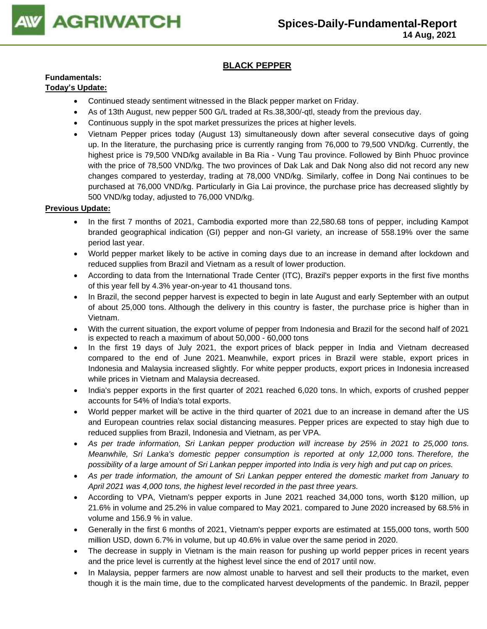

## **BLACK PEPPER**

## **Fundamentals:**

## **Today's Update:**

- Continued steady sentiment witnessed in the Black pepper market on Friday.
- As of 13th August, new pepper 500 G/L traded at Rs.38,300/-qtl, steady from the previous day.
- Continuous supply in the spot market pressurizes the prices at higher levels.
- Vietnam Pepper prices today (August 13) simultaneously down after several consecutive days of going up. In the literature, the purchasing price is currently ranging from 76,000 to 79,500 VND/kg. Currently, the highest price is 79,500 VND/kg available in Ba Ria - Vung Tau province. Followed by Binh Phuoc province with the price of 78,500 VND/kg. The two provinces of Dak Lak and Dak Nong also did not record any new changes compared to yesterday, trading at 78,000 VND/kg. Similarly, coffee in Dong Nai continues to be purchased at 76,000 VND/kg. Particularly in Gia Lai province, the purchase price has decreased slightly by 500 VND/kg today, adjusted to 76,000 VND/kg.

- In the first 7 months of 2021, Cambodia exported more than 22,580.68 tons of pepper, including Kampot branded geographical indication (GI) pepper and non-GI variety, an increase of 558.19% over the same period last year.
- World pepper market likely to be active in coming days due to an increase in demand after lockdown and reduced supplies from Brazil and Vietnam as a result of lower production.
- According to data from the International Trade Center (ITC), Brazil's pepper exports in the first five months of this year fell by 4.3% year-on-year to 41 thousand tons.
- In Brazil, the second pepper harvest is expected to begin in late August and early September with an output of about 25,000 tons. Although the delivery in this country is faster, the purchase price is higher than in Vietnam.
- With the current situation, the export volume of pepper from Indonesia and Brazil for the second half of 2021 is expected to reach a maximum of about 50,000 - 60,000 tons
- In the first 19 days of July 2021, the export prices of black pepper in India and Vietnam decreased compared to the end of June 2021. Meanwhile, export prices in Brazil were stable, export prices in Indonesia and Malaysia increased slightly. For white pepper products, export prices in Indonesia increased while prices in Vietnam and Malaysia decreased.
- India's pepper exports in the first quarter of 2021 reached 6,020 tons. In which, exports of crushed pepper accounts for 54% of India's total exports.
- World pepper market will be active in the third quarter of 2021 due to an increase in demand after the US and European countries relax social distancing measures. Pepper prices are expected to stay high due to reduced supplies from Brazil, Indonesia and Vietnam, as per VPA.
- *As per trade information, Sri Lankan pepper production will increase by 25% in 2021 to 25,000 tons. Meanwhile, Sri Lanka's domestic pepper consumption is reported at only 12,000 tons. Therefore, the possibility of a large amount of Sri Lankan pepper imported into India is very high and put cap on prices.*
- *As per trade information, the amount of Sri Lankan pepper entered the domestic market from January to April 2021 was 4,000 tons, the highest level recorded in the past three years.*
- According to VPA, Vietnam's pepper exports in June 2021 reached 34,000 tons, worth \$120 million, up 21.6% in volume and 25.2% in value compared to May 2021. compared to June 2020 increased by 68.5% in volume and 156.9 % in value.
- Generally in the first 6 months of 2021, Vietnam's pepper exports are estimated at 155,000 tons, worth 500 million USD, down 6.7% in volume, but up 40.6% in value over the same period in 2020.
- The decrease in supply in Vietnam is the main reason for pushing up world pepper prices in recent years and the price level is currently at the highest level since the end of 2017 until now.
- In Malaysia, pepper farmers are now almost unable to harvest and sell their products to the market, even though it is the main time, due to the complicated harvest developments of the pandemic. In Brazil, pepper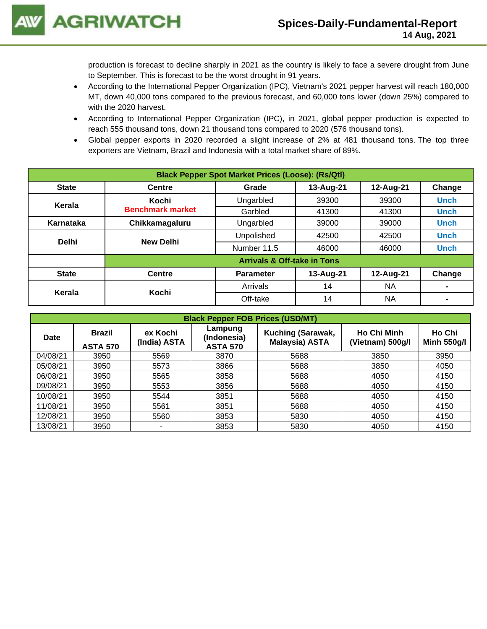production is forecast to decline sharply in 2021 as the country is likely to face a severe drought from June to September. This is forecast to be the worst drought in 91 years.

- According to the International Pepper Organization (IPC), Vietnam's 2021 pepper harvest will reach 180,000 MT, down 40,000 tons compared to the previous forecast, and 60,000 tons lower (down 25%) compared to with the 2020 harvest.
- According to International Pepper Organization (IPC), in 2021, global pepper production is expected to reach 555 thousand tons, down 21 thousand tons compared to 2020 (576 thousand tons).
- Global pepper exports in 2020 recorded a slight increase of 2% at 481 thousand tons. The top three exporters are Vietnam, Brazil and Indonesia with a total market share of 89%.

| <b>Black Pepper Spot Market Prices (Loose): (Rs/Qtl)</b> |                                        |                                           |           |           |             |  |  |  |  |
|----------------------------------------------------------|----------------------------------------|-------------------------------------------|-----------|-----------|-------------|--|--|--|--|
| <b>State</b>                                             | <b>Centre</b>                          | 12-Aug-21<br>13-Aug-21<br>Change<br>Grade |           |           |             |  |  |  |  |
| Kerala                                                   | Kochi                                  | Ungarbled                                 | 39300     | 39300     | <b>Unch</b> |  |  |  |  |
|                                                          | <b>Benchmark market</b>                | Garbled                                   | 41300     | 41300     | <b>Unch</b> |  |  |  |  |
| Karnataka                                                | Chikkamagaluru                         | Ungarbled                                 | 39000     | 39000     | <b>Unch</b> |  |  |  |  |
| <b>Delhi</b>                                             | <b>New Delhi</b>                       | Unpolished                                | 42500     | 42500     | <b>Unch</b> |  |  |  |  |
|                                                          |                                        | Number 11.5                               | 46000     | 46000     | <b>Unch</b> |  |  |  |  |
|                                                          | <b>Arrivals &amp; Off-take in Tons</b> |                                           |           |           |             |  |  |  |  |
| <b>State</b>                                             | <b>Centre</b>                          | <b>Parameter</b>                          | 13-Aug-21 | 12-Aug-21 | Change      |  |  |  |  |
|                                                          | Kochi                                  | Arrivals                                  | 14        | <b>NA</b> |             |  |  |  |  |
| Kerala                                                   |                                        | Off-take                                  | 14        | <b>NA</b> |             |  |  |  |  |

| <b>Black Pepper FOB Prices (USD/MT)</b> |                                  |                                                                       |      |                                            |                                        |                              |  |  |  |
|-----------------------------------------|----------------------------------|-----------------------------------------------------------------------|------|--------------------------------------------|----------------------------------------|------------------------------|--|--|--|
| <b>Date</b>                             | <b>Brazil</b><br><b>ASTA 570</b> | Lampung<br>ex Kochi<br>(Indonesia)<br>(India) ASTA<br><b>ASTA 570</b> |      | Kuching (Sarawak,<br><b>Malaysia) ASTA</b> | <b>Ho Chi Minh</b><br>(Vietnam) 500g/l | Ho Chi<br><b>Minh 550g/l</b> |  |  |  |
| 04/08/21                                | 3950                             | 5569                                                                  | 3870 | 5688                                       | 3850                                   | 3950                         |  |  |  |
| 05/08/21                                | 3950                             | 5573                                                                  | 3866 | 5688                                       | 3850                                   | 4050                         |  |  |  |
| 06/08/21                                | 3950                             | 5565                                                                  | 3858 | 5688                                       | 4050                                   | 4150                         |  |  |  |
| 09/08/21                                | 3950                             | 5553                                                                  | 3856 | 5688                                       | 4050                                   | 4150                         |  |  |  |
| 10/08/21                                | 3950                             | 5544                                                                  | 3851 | 5688                                       | 4050                                   | 4150                         |  |  |  |
| 11/08/21                                | 3950                             | 5561                                                                  | 3851 | 5688                                       | 4050                                   | 4150                         |  |  |  |
| 12/08/21                                | 3950                             | 5560                                                                  | 3853 | 5830                                       | 4050                                   | 4150                         |  |  |  |
| 13/08/21                                | 3950                             | ۰                                                                     | 3853 | 5830                                       | 4050                                   | 4150                         |  |  |  |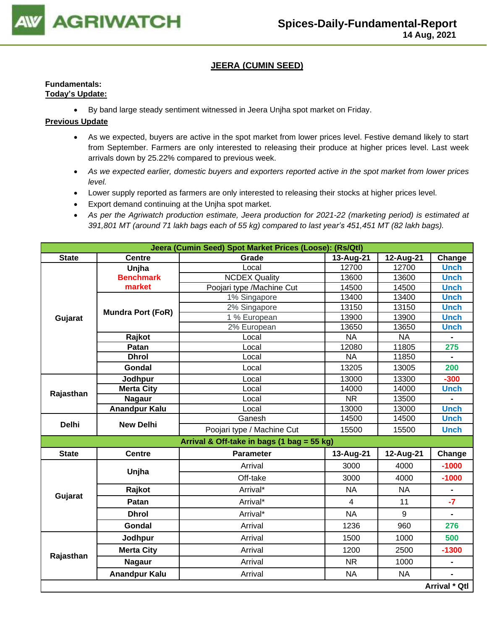

## **JEERA (CUMIN SEED)**

## **Fundamentals: Today's Update:**

• By band large steady sentiment witnessed in Jeera Unjha spot market on Friday.

- As we expected, buyers are active in the spot market from lower prices level. Festive demand likely to start from September. Farmers are only interested to releasing their produce at higher prices level. Last week arrivals down by 25.22% compared to previous week.
- *As we expected earlier, domestic buyers and exporters reported active in the spot market from lower prices level.*
- Lower supply reported as farmers are only interested to releasing their stocks at higher prices level.
- Export demand continuing at the Unjha spot market.
- *As per the Agriwatch production estimate, Jeera production for 2021-22 (marketing period) is estimated at 391,801 MT (around 71 lakh bags each of 55 kg) compared to last year's 451,451 MT (82 lakh bags).*

|              | Jeera (Cumin Seed) Spot Market Prices (Loose): (Rs/Qtl) |                                            |                        |           |                                                      |  |  |  |  |
|--------------|---------------------------------------------------------|--------------------------------------------|------------------------|-----------|------------------------------------------------------|--|--|--|--|
| <b>State</b> | <b>Centre</b>                                           | Grade                                      | 13-Aug-21              | 12-Aug-21 | Change                                               |  |  |  |  |
|              | Unjha                                                   | Local                                      | 12700                  | 12700     | <b>Unch</b>                                          |  |  |  |  |
|              | <b>Benchmark</b>                                        | <b>NCDEX</b> Quality                       | 13600                  | 13600     | <b>Unch</b>                                          |  |  |  |  |
| Gujarat      | market                                                  | Poojari type /Machine Cut                  | 14500                  | 14500     | <b>Unch</b>                                          |  |  |  |  |
|              |                                                         | 1% Singapore                               | 13400                  | 13400     | <b>Unch</b>                                          |  |  |  |  |
|              | <b>Mundra Port (FoR)</b>                                | 2% Singapore                               | 13150                  | 13150     | <b>Unch</b>                                          |  |  |  |  |
|              |                                                         | 1 % European                               | 13900                  | 13900     | <b>Unch</b>                                          |  |  |  |  |
|              |                                                         | 2% European                                | 13650                  | 13650     | <b>Unch</b>                                          |  |  |  |  |
|              | Rajkot                                                  | Local                                      | <b>NA</b>              | <b>NA</b> |                                                      |  |  |  |  |
|              | Patan                                                   | Local                                      | 12080                  | 11805     | 275                                                  |  |  |  |  |
|              | <b>Dhrol</b>                                            | Local                                      | <b>NA</b>              | 11850     | $\blacksquare$                                       |  |  |  |  |
|              | Gondal                                                  | Local                                      | 13205                  | 13005     | 200                                                  |  |  |  |  |
|              | Jodhpur                                                 | Local                                      | 13000                  | 13300     | $-300$                                               |  |  |  |  |
| Rajasthan    | <b>Merta City</b>                                       | Local                                      | 14000                  | 14000     | <b>Unch</b>                                          |  |  |  |  |
|              | <b>Nagaur</b>                                           | Local                                      | $\overline{\text{NR}}$ | 13500     |                                                      |  |  |  |  |
|              | <b>Anandpur Kalu</b>                                    | Local                                      | 13000                  | 13000     |                                                      |  |  |  |  |
| <b>Delhi</b> | <b>New Delhi</b>                                        | Ganesh                                     | 14500                  | 14500     |                                                      |  |  |  |  |
|              |                                                         | Poojari type / Machine Cut                 | 15500                  | 15500     | <b>Unch</b>                                          |  |  |  |  |
|              |                                                         | Arrival & Off-take in bags (1 bag = 55 kg) |                        |           |                                                      |  |  |  |  |
| <b>State</b> | <b>Centre</b>                                           | <b>Parameter</b>                           | 13-Aug-21              | 12-Aug-21 | Change                                               |  |  |  |  |
|              | Unjha                                                   | Arrival                                    | 3000                   | 4000      | $-1000$                                              |  |  |  |  |
|              |                                                         | Off-take                                   | 3000                   | 4000      | <b>Unch</b><br><b>Unch</b><br>$-1000$<br>$-7$<br>276 |  |  |  |  |
|              | Rajkot                                                  | Arrival*                                   | <b>NA</b>              | <b>NA</b> |                                                      |  |  |  |  |
| Gujarat      | Patan                                                   | Arrival*                                   | $\overline{4}$         | 11        |                                                      |  |  |  |  |
|              | <b>Dhrol</b>                                            | Arrival*                                   | <b>NA</b>              | 9         |                                                      |  |  |  |  |
|              | Gondal                                                  | Arrival                                    | 1236                   | 960       |                                                      |  |  |  |  |
|              | Jodhpur                                                 | Arrival                                    | 1500                   | 1000      | 500                                                  |  |  |  |  |
|              | <b>Merta City</b>                                       | Arrival                                    | 1200                   | 2500      | $-1300$                                              |  |  |  |  |
| Rajasthan    | <b>Nagaur</b>                                           | Arrival                                    | NR.                    | 1000      | $\blacksquare$                                       |  |  |  |  |
|              | <b>Anandpur Kalu</b>                                    | Arrival                                    | <b>NA</b>              | <b>NA</b> |                                                      |  |  |  |  |
|              |                                                         |                                            |                        |           | <b>Arrival * Qtl</b>                                 |  |  |  |  |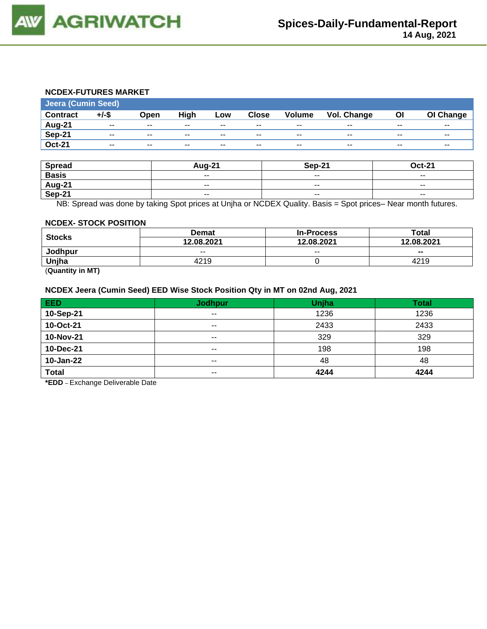

#### **NCDEX-FUTURES MARKET**

| <b>Jeera (Cumin Seed)</b> |          |       |       |       |              |               |                    |       |           |
|---------------------------|----------|-------|-------|-------|--------------|---------------|--------------------|-------|-----------|
| <b>Contract</b>           | $+/-$ \$ | Open  | High  | Low   | <b>Close</b> | <b>Volume</b> | <b>Vol. Change</b> | ΟI    | OI Change |
| Aug-21                    | $- -$    | $- -$ | $- -$ | $- -$ | $- -$        | $- -$         | $- -$              | $- -$ | $- -$     |
| Sep-21                    | $- -$    | $- -$ | $- -$ | $-$   | $- -$        | $- -$         | $- -$              | $- -$ | $- -$     |
| <b>Oct-21</b>             | $- -$    | $- -$ | --    | $- -$ | $- -$        | $- -$         | $\sim$             | $- -$ | $- -$     |

| <b>Spread</b> | <b>Aug-21</b>            | Sep-21                   | <b>Oct-21</b>            |
|---------------|--------------------------|--------------------------|--------------------------|
| <b>Basis</b>  | $- -$                    | $\sim$ $\sim$            | $\overline{\phantom{a}}$ |
| Aug-21        | $\overline{\phantom{a}}$ | $\overline{\phantom{a}}$ | $- -$                    |
| <b>Sep-21</b> | $\overline{\phantom{a}}$ | $\sim$ $\sim$            | $\overline{\phantom{a}}$ |

NB: Spread was done by taking Spot prices at Unjha or NCDEX Quality. Basis = Spot prices– Near month futures.

#### **NCDEX- STOCK POSITION**

| <b>Stocks</b>                         | <b>Demat</b> | <b>In-Process</b> | Total          |  |
|---------------------------------------|--------------|-------------------|----------------|--|
|                                       | 12.08.2021   | 12.08.2021        | 12.08.2021     |  |
| Jodhpur                               | $- -$        | $- -$             | $\blacksquare$ |  |
| Uniha                                 | 4219         |                   | 4219           |  |
| $\overline{\phantom{0}}$<br>$- - - -$ |              |                   |                |  |

(**Quantity in MT)**

#### **NCDEX Jeera (Cumin Seed) EED Wise Stock Position Qty in MT on 02nd Aug, 2021**

| <b>EED</b>   | <b>Jodhpur</b> | Unjha | <b>Total</b> |
|--------------|----------------|-------|--------------|
| 10-Sep-21    | $\sim$ $\sim$  | 1236  | 1236         |
| 10-Oct-21    | $- -$          | 2433  | 2433         |
| 10-Nov-21    | $- -$          | 329   | 329          |
| 10-Dec-21    | $- -$          | 198   | 198          |
| 10-Jan-22    | $\sim$ $\sim$  | 48    | 48           |
| <b>Total</b> | $- -$          | 4244  | 4244         |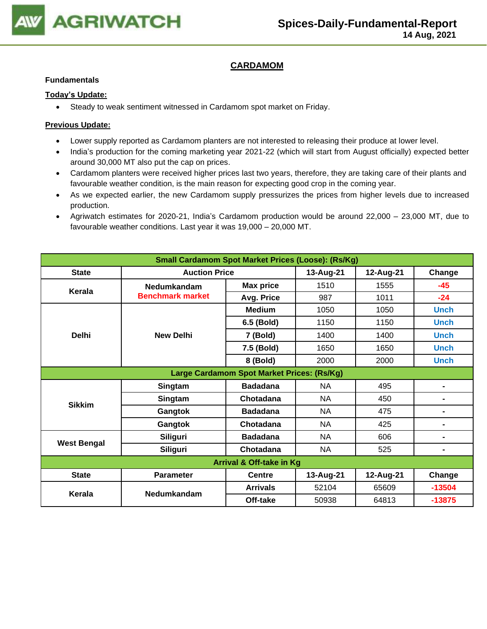

## **CARDAMOM**

#### **Fundamentals**

#### **Today's Update:**

• Steady to weak sentiment witnessed in Cardamom spot market on Friday.

- Lower supply reported as Cardamom planters are not interested to releasing their produce at lower level.
- India's production for the coming marketing year 2021-22 (which will start from August officially) expected better around 30,000 MT also put the cap on prices.
- Cardamom planters were received higher prices last two years, therefore, they are taking care of their plants and favourable weather condition, is the main reason for expecting good crop in the coming year.
- As we expected earlier, the new Cardamom supply pressurizes the prices from higher levels due to increased production.
- Agriwatch estimates for 2020-21, India's Cardamom production would be around 22,000 23,000 MT, due to favourable weather conditions. Last year it was 19,000 – 20,000 MT.

| <b>Small Cardamom Spot Market Prices (Loose): (Rs/Kg)</b> |                                            |                  |           |           |                |  |  |  |
|-----------------------------------------------------------|--------------------------------------------|------------------|-----------|-----------|----------------|--|--|--|
| <b>State</b>                                              | <b>Auction Price</b>                       |                  | 13-Aug-21 | 12-Aug-21 | Change         |  |  |  |
| <b>Kerala</b>                                             | <b>Nedumkandam</b>                         | <b>Max price</b> | 1510      | 1555      | $-45$          |  |  |  |
|                                                           | <b>Benchmark market</b>                    | Avg. Price       | 987       | 1011      | $-24$          |  |  |  |
|                                                           |                                            | <b>Medium</b>    | 1050      | 1050      | <b>Unch</b>    |  |  |  |
|                                                           |                                            | 6.5 (Bold)       | 1150      | 1150      | <b>Unch</b>    |  |  |  |
| <b>Delhi</b>                                              | <b>New Delhi</b>                           | 7 (Bold)         | 1400      | 1400      | <b>Unch</b>    |  |  |  |
|                                                           |                                            | 7.5 (Bold)       | 1650      | 1650      | <b>Unch</b>    |  |  |  |
|                                                           |                                            | 8 (Bold)         | 2000      | 2000      | <b>Unch</b>    |  |  |  |
|                                                           | Large Cardamom Spot Market Prices: (Rs/Kg) |                  |           |           |                |  |  |  |
|                                                           | Singtam                                    | <b>Badadana</b>  | <b>NA</b> | 495       | $\blacksquare$ |  |  |  |
| <b>Sikkim</b>                                             | Singtam                                    | Chotadana        | <b>NA</b> | 450       | $\blacksquare$ |  |  |  |
|                                                           | Gangtok                                    | <b>Badadana</b>  | <b>NA</b> | 475       | $\blacksquare$ |  |  |  |
|                                                           | Gangtok                                    | Chotadana        | NA        | 425       | $\blacksquare$ |  |  |  |
|                                                           | <b>Siliguri</b>                            | <b>Badadana</b>  | NA        | 606       | $\blacksquare$ |  |  |  |
| <b>West Bengal</b>                                        | <b>Siliguri</b>                            | Chotadana        | NA.       | 525       | $\blacksquare$ |  |  |  |
| Arrival & Off-take in Kg                                  |                                            |                  |           |           |                |  |  |  |
| <b>State</b>                                              | <b>Parameter</b>                           | <b>Centre</b>    | 13-Aug-21 | 12-Aug-21 | Change         |  |  |  |
| Kerala                                                    | Nedumkandam                                | <b>Arrivals</b>  | 52104     | 65609     | $-13504$       |  |  |  |
|                                                           |                                            | Off-take         | 50938     | 64813     | $-13875$       |  |  |  |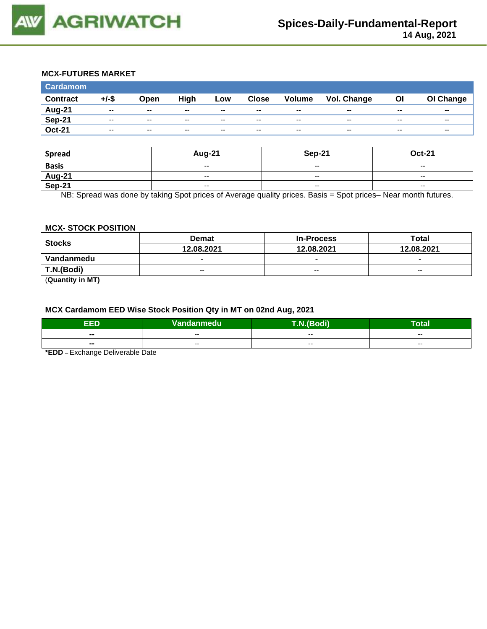

## **MCX-FUTURES MARKET**

| <b>Cardamom</b> |          |       |       |       |              |                          |             |           |               |
|-----------------|----------|-------|-------|-------|--------------|--------------------------|-------------|-----------|---------------|
| <b>Contract</b> | $+/-$ \$ | Open  | High  | Low   | <b>Close</b> | <b>Volume</b>            | Vol. Change | <b>OI</b> | OI Change     |
| <b>Aug-21</b>   | $-$      | $-$   | $- -$ | $- -$ | $- -$        | $- -$                    | $- -$       | $- -$     | $- -$         |
| <b>Sep-21</b>   | $-$      | $-$   | $- -$ | $-$   | $-$          | $\overline{\phantom{m}}$ | $- -$       | $- -$     | $\sim$ $\sim$ |
| <b>Oct-21</b>   | $-$      | $- -$ | $-$   | $-$   | $-$          | $\overline{\phantom{m}}$ | $- -$       | $- -$     | $\sim$ $\sim$ |

| <b>Spread</b>                             | <b>Aug-21</b>                                  | Sep-21                   | <b>Oct-21</b>            |
|-------------------------------------------|------------------------------------------------|--------------------------|--------------------------|
| <b>Basis</b>                              | $\overline{\phantom{a}}$                       | $\overline{\phantom{a}}$ | $\overline{\phantom{a}}$ |
| $\frac{\overline{Aug-21}}{\text{Sep-21}}$ | $\overline{\phantom{a}}$                       | $-$                      | $\overline{\phantom{a}}$ |
|                                           | $\hspace{0.1mm}-\hspace{0.1mm}-\hspace{0.1mm}$ | $\overline{\phantom{a}}$ | $\overline{\phantom{a}}$ |

NB: Spread was done by taking Spot prices of Average quality prices. Basis = Spot prices– Near month futures.

#### **MCX- STOCK POSITION**

| <b>Stocks</b> | <b>Demat</b> | <b>In-Process</b>        | Total                    |  |
|---------------|--------------|--------------------------|--------------------------|--|
|               | 12.08.2021   | 12.08.2021               | 12.08.2021               |  |
| Vandanmedu    |              | $\overline{\phantom{0}}$ | $\overline{\phantom{0}}$ |  |
| T.N.(Bodi)    | $- -$        | $- -$                    | $- -$                    |  |
|               |              |                          |                          |  |

(**Quantity in MT)**

## **MCX Cardamom EED Wise Stock Position Qty in MT on 02nd Aug, 2021**

| EED   | Vandanmedu | $\overline{ }$<br>- 40<br>воон | . .<br>Гоtal |
|-------|------------|--------------------------------|--------------|
| $- -$ | $- -$      | $- -$                          | $- -$        |
| $- -$ | $- -$      | --                             | $- -$        |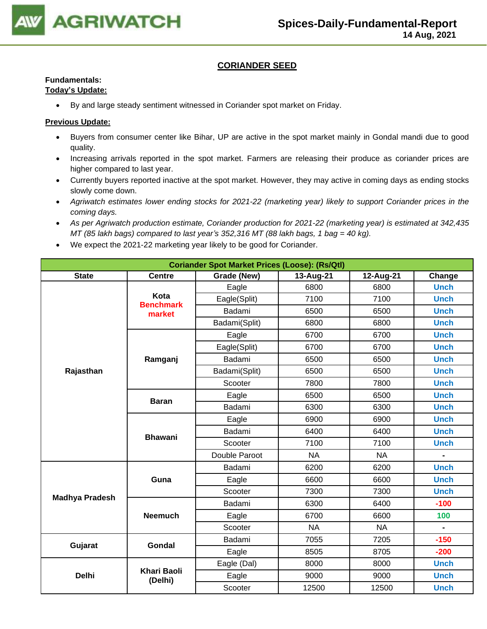

## **CORIANDER SEED**

## **Fundamentals:**

## **Today's Update:**

• By and large steady sentiment witnessed in Coriander spot market on Friday.

- Buyers from consumer center like Bihar, UP are active in the spot market mainly in Gondal mandi due to good quality.
- Increasing arrivals reported in the spot market. Farmers are releasing their produce as coriander prices are higher compared to last year.
- Currently buyers reported inactive at the spot market. However, they may active in coming days as ending stocks slowly come down.
- *Agriwatch estimates lower ending stocks for 2021-22 (marketing year) likely to support Coriander prices in the coming days.*
- *As per Agriwatch production estimate, Coriander production for 2021-22 (marketing year) is estimated at 342,435 MT (85 lakh bags) compared to last year's 352,316 MT (88 lakh bags, 1 bag = 40 kg).*
- We expect the 2021-22 marketing year likely to be good for Coriander.

| <b>Coriander Spot Market Prices (Loose): (Rs/Qtl)</b> |                               |               |           |           |                |  |  |
|-------------------------------------------------------|-------------------------------|---------------|-----------|-----------|----------------|--|--|
| <b>State</b>                                          | <b>Centre</b>                 | Grade (New)   | Change    |           |                |  |  |
|                                                       |                               | Eagle         | 6800      | 6800      | <b>Unch</b>    |  |  |
|                                                       | Kota<br><b>Benchmark</b>      | Eagle(Split)  | 7100      | 7100      | <b>Unch</b>    |  |  |
|                                                       | market                        | Badami        | 6500      | 6500      | <b>Unch</b>    |  |  |
|                                                       |                               | Badami(Split) | 6800      | 6800      | <b>Unch</b>    |  |  |
|                                                       |                               | Eagle         | 6700      | 6700      | <b>Unch</b>    |  |  |
|                                                       |                               | Eagle(Split)  | 6700      | 6700      | <b>Unch</b>    |  |  |
|                                                       | Ramganj                       | Badami        | 6500      | 6500      | <b>Unch</b>    |  |  |
| Rajasthan                                             |                               | Badami(Split) | 6500      | 6500      | <b>Unch</b>    |  |  |
|                                                       |                               | Scooter       | 7800      | 7800      | <b>Unch</b>    |  |  |
|                                                       |                               | Eagle         | 6500      | 6500      | <b>Unch</b>    |  |  |
|                                                       | <b>Baran</b>                  | Badami        | 6300      | 6300      | <b>Unch</b>    |  |  |
|                                                       |                               | Eagle         | 6900      | 6900      | <b>Unch</b>    |  |  |
|                                                       |                               | Badami        | 6400      | 6400      | <b>Unch</b>    |  |  |
|                                                       | <b>Bhawani</b>                | Scooter       | 7100      | 7100      | <b>Unch</b>    |  |  |
|                                                       |                               | Double Paroot | <b>NA</b> | <b>NA</b> | $\blacksquare$ |  |  |
|                                                       |                               | Badami        | 6200      | 6200      | <b>Unch</b>    |  |  |
|                                                       | Guna                          | Eagle         | 6600      | 6600      | <b>Unch</b>    |  |  |
|                                                       |                               | Scooter       | 7300      | 7300      | <b>Unch</b>    |  |  |
| <b>Madhya Pradesh</b>                                 |                               | Badami        | 6300      | 6400      | $-100$         |  |  |
|                                                       | <b>Neemuch</b>                | Eagle         | 6700      | 6600      | 100            |  |  |
|                                                       |                               | Scooter       | <b>NA</b> | <b>NA</b> | $\blacksquare$ |  |  |
|                                                       |                               | Badami        | 7055      | 7205      | $-150$         |  |  |
| Gujarat                                               | <b>Gondal</b>                 | Eagle         | 8505      | 8705      | $-200$         |  |  |
|                                                       |                               | Eagle (Dal)   | 8000      | 8000      | <b>Unch</b>    |  |  |
| <b>Delhi</b>                                          | <b>Khari Baoli</b><br>(Delhi) | Eagle         | 9000      | 9000      | <b>Unch</b>    |  |  |
|                                                       |                               | Scooter       | 12500     | 12500     | <b>Unch</b>    |  |  |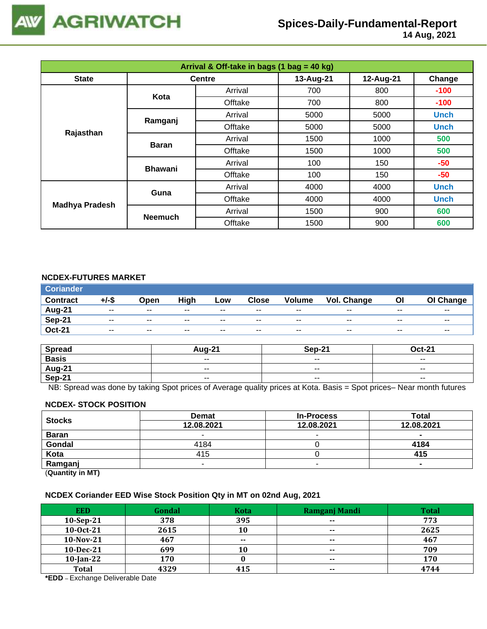

 **14 Aug, 2021**

| Arrival & Off-take in bags (1 bag = 40 kg) |                |               |           |           |             |  |  |
|--------------------------------------------|----------------|---------------|-----------|-----------|-------------|--|--|
| <b>State</b>                               |                | <b>Centre</b> | 13-Aug-21 | 12-Aug-21 | Change      |  |  |
|                                            | Kota           | Arrival       | 700       | 800       | $-100$      |  |  |
|                                            |                | Offtake       | 700       | 800       | $-100$      |  |  |
|                                            |                | Arrival       | 5000      | 5000      | <b>Unch</b> |  |  |
|                                            | Ramganj        | Offtake       | 5000      | 5000      | <b>Unch</b> |  |  |
| Rajasthan                                  |                | Arrival       | 1500      | 1000      | 500         |  |  |
|                                            | <b>Baran</b>   | Offtake       | 1500      | 1000      | 500         |  |  |
|                                            | <b>Bhawani</b> | Arrival       | 100       | 150       | $-50$       |  |  |
|                                            |                | Offtake       | 100       | 150       | $-50$       |  |  |
| <b>Madhya Pradesh</b>                      | Guna           | Arrival       | 4000      | 4000      | <b>Unch</b> |  |  |
|                                            |                | Offtake       | 4000      | 4000      | <b>Unch</b> |  |  |
|                                            | <b>Neemuch</b> | Arrival       | 1500      | 900       | 600         |  |  |
|                                            |                | Offtake       | 1500      | 900       | 600         |  |  |

## **NCDEX-FUTURES MARKET**

| <b>Coriander</b> |       |       |       |       |              |               |             |       |           |
|------------------|-------|-------|-------|-------|--------------|---------------|-------------|-------|-----------|
| <b>Contract</b>  | +/-\$ | Open  | High  | Low   | <b>Close</b> | <b>Volume</b> | Vol. Change | ΟI    | OI Change |
| Aug-21           | $- -$ | $- -$ | $- -$ | $- -$ | $- -$        | $- -$         | $- -$       | $- -$ | $- -$     |
| <b>Sep-21</b>    | $- -$ | $- -$ | $- -$ | $- -$ | $- -$        | $- -$         | $- -$       | $- -$ | $- -$     |
| <b>Oct-21</b>    | $- -$ | $- -$ | $- -$ | $- -$ | $- -$        | $- -$         | $- -$       | $- -$ | $- -$     |

| <b>Spread</b>    | $\Delta$ <sub>110-2</sub> <sup>4</sup> | <b>Sep-21</b>            | $Oct-21$                 |
|------------------|----------------------------------------|--------------------------|--------------------------|
| <b>Basis</b>     | $ -$                                   | $\overline{\phantom{a}}$ | $\overline{\phantom{a}}$ |
| Aug-21<br>Sep-21 | $- -$                                  | $\overline{\phantom{a}}$ | $- -$                    |
|                  | $ -$                                   | $\overline{\phantom{a}}$ | $\sim$ $\sim$            |

NB: Spread was done by taking Spot prices of Average quality prices at Kota. Basis = Spot prices– Near month futures

#### **NCDEX- STOCK POSITION**

| <b>Stocks</b>           | <b>Demat</b> | <b>In-Process</b> | Total      |
|-------------------------|--------------|-------------------|------------|
|                         | 12.08.2021   | 12.08.2021        | 12.08.2021 |
| <b>Baran</b>            |              | -                 |            |
| Gondal                  | 4184         |                   | 4184       |
| Kota                    | 415          |                   | 415        |
| Ramganj                 |              |                   |            |
| (0.1222, 0.0122, 0.000) |              |                   |            |

(**Quantity in MT)**

#### **NCDEX Coriander EED Wise Stock Position Qty in MT on 02nd Aug, 2021**

| <b>EED</b>   | Gondal | <b>Kota</b> | Ramganj Mandi            | <b>Total</b> |
|--------------|--------|-------------|--------------------------|--------------|
| $10-Sep-21$  | 378    | 395         | $- -$                    | 773          |
| 10-0ct-21    | 2615   | 10          | $\sim$                   | 2625         |
| $10-Nov-21$  | 467    | $- -$       | $\sim$                   | 467          |
| 10-Dec-21    | 699    | 10          | $- -$                    | 709          |
| $10$ -Jan-22 | 170    |             | $\overline{\phantom{a}}$ | 170          |
| <b>Total</b> | 4329   | 415         | $\sim$                   | 4744         |